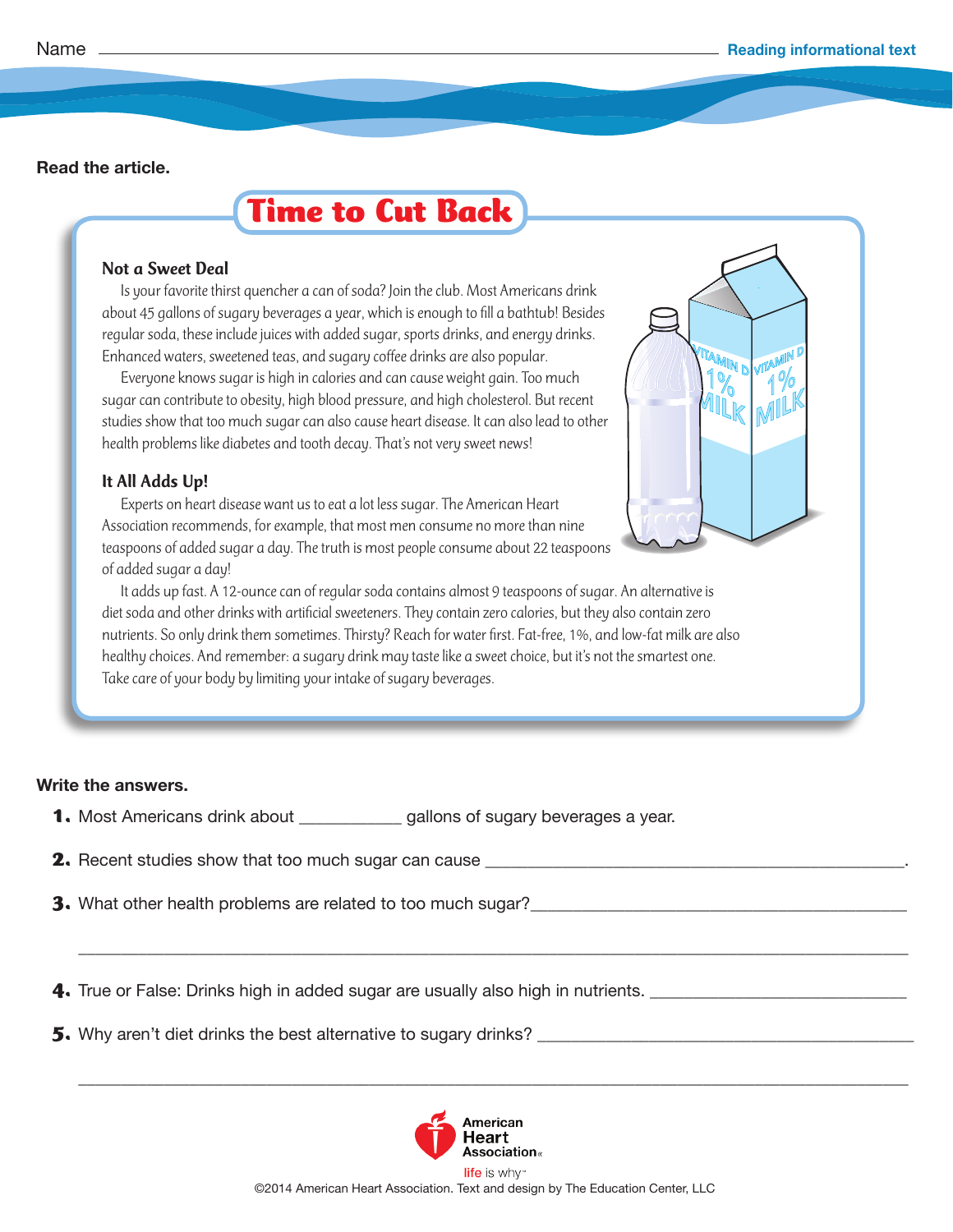# **Time to Cut Back**

#### Not a Sweet Deal

Is your favorite thirst quencher a can of soda? Join the club. Most Americans drink about 45 gallons of sugary beverages a year, which is enough to fill a bathtub! Besides regular soda, these include juices with added sugar, sports drinks, and energy drinks. Enhanced waters, sweetened teas, and sugary coffee drinks are also popular.

Everyone knows sugar is high in calories and can cause weight gain. Too much sugar can contribute to obesity, high blood pressure, and high cholesterol. But recent studies show that too much sugar can also cause heart disease. It can also lead to other health problems like diabetes and tooth decay. That's not very sweet news!

## It All Adds Up!

Experts on heart disease want us to eat a lot less sugar. The American Heart Association recommends, for example, that most men consume no more than nine teaspoons of added sugar a day. The truth is most people consume about 22 teaspoons of added sugar a day!



It adds up fast. A 12-ounce can of regular soda contains almost 9 teaspoons of sugar. An alternative is diet soda and other drinks with artificial sweeteners. They contain zero calories, but they also contain zero nutrients. So only drink them sometimes. Thirsty? Reach for water first. Fat-free, 1%, and low-fat milk are also healthy choices. And remember: a sugary drink may taste like a sweet choice, but it's not the smartest one. Take care of your body by limiting your intake of sugary beverages.

### **Write the answers.**

- **1.** Most Americans drink about \_\_\_\_\_\_\_\_\_\_\_\_ gallons of sugary beverages a year.
- **2.** Recent studies show that too much sugar can cause \_\_\_\_\_\_\_\_\_\_\_\_\_\_\_\_\_\_\_\_\_\_\_\_\_\_\_\_\_\_\_\_\_\_\_\_\_\_\_\_\_\_\_\_\_\_\_\_\_.
- **3.** What other health problems are related to too much sugar?\_\_\_\_\_\_\_\_\_\_\_\_\_\_\_\_\_\_\_\_\_\_\_\_\_\_\_\_\_\_\_\_\_\_\_\_\_\_\_\_\_\_\_\_
- **4.** True or False: Drinks high in added sugar are usually also high in nutrients.
- **5.** Why aren't diet drinks the best alternative to sugary drinks? \_\_\_\_\_\_\_\_\_\_\_\_\_\_\_\_\_\_\_\_\_\_\_\_\_\_\_\_\_\_\_\_\_\_\_\_\_\_\_\_\_\_\_\_



 $\frac{1}{2}$  ,  $\frac{1}{2}$  ,  $\frac{1}{2}$  ,  $\frac{1}{2}$  ,  $\frac{1}{2}$  ,  $\frac{1}{2}$  ,  $\frac{1}{2}$  ,  $\frac{1}{2}$  ,  $\frac{1}{2}$  ,  $\frac{1}{2}$  ,  $\frac{1}{2}$  ,  $\frac{1}{2}$  ,  $\frac{1}{2}$  ,  $\frac{1}{2}$  ,  $\frac{1}{2}$  ,  $\frac{1}{2}$  ,  $\frac{1}{2}$  ,  $\frac{1}{2}$  ,  $\frac{1$ 

 $\frac{1}{2}$  ,  $\frac{1}{2}$  ,  $\frac{1}{2}$  ,  $\frac{1}{2}$  ,  $\frac{1}{2}$  ,  $\frac{1}{2}$  ,  $\frac{1}{2}$  ,  $\frac{1}{2}$  ,  $\frac{1}{2}$  ,  $\frac{1}{2}$  ,  $\frac{1}{2}$  ,  $\frac{1}{2}$  ,  $\frac{1}{2}$  ,  $\frac{1}{2}$  ,  $\frac{1}{2}$  ,  $\frac{1}{2}$  ,  $\frac{1}{2}$  ,  $\frac{1}{2}$  ,  $\frac{1$